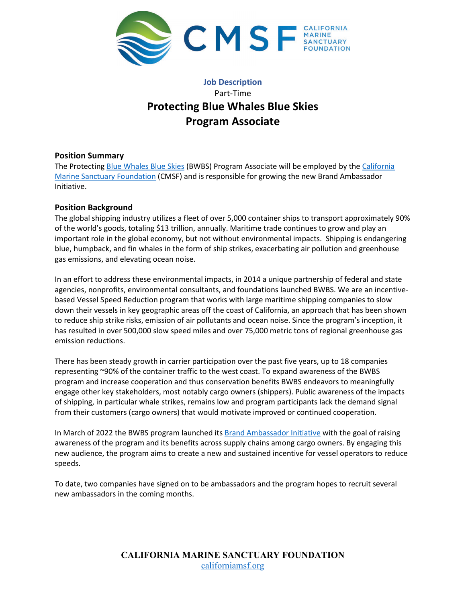

# **Job Description** Part-Time **Protecting Blue Whales Blue Skies Program Associate**

# **Position Summary**

The Protecting [Blue Whales Blue Skies](https://www.bluewhalesblueskies.org/) (BWBS) Program Associate will be employed by the [California](https://www.californiamsf.org/)  [Marine Sanctuary Foundation](https://www.californiamsf.org/) (CMSF) and is responsible for growing the new Brand Ambassador Initiative.

# **Position Background**

The global shipping industry utilizes a fleet of over 5,000 container ships to transport approximately 90% of the world's goods, totaling \$13 trillion, annually. Maritime trade continues to grow and play an important role in the global economy, but not without environmental impacts. Shipping is endangering blue, humpback, and fin whales in the form of ship strikes, exacerbating air pollution and greenhouse gas emissions, and elevating ocean noise.

In an effort to address these environmental impacts, in 2014 a unique partnership of federal and state agencies, nonprofits, environmental consultants, and foundations launched BWBS. We are an incentivebased Vessel Speed Reduction program that works with large maritime shipping companies to slow down their vessels in key geographic areas off the coast of California, an approach that has been shown to reduce ship strike risks, emission of air pollutants and ocean noise. Since the program's inception, it has resulted in over 500,000 slow speed miles and over 75,000 metric tons of regional greenhouse gas emission reductions.

There has been steady growth in carrier participation over the past five years, up to 18 companies representing ~90% of the container traffic to the west coast. To expand awareness of the BWBS program and increase cooperation and thus conservation benefits BWBS endeavors to meaningfully engage other key stakeholders, most notably cargo owners (shippers). Public awareness of the impacts of shipping, in particular whale strikes, remains low and program participants lack the demand signal from their customers (cargo owners) that would motivate improved or continued cooperation.

In March of 2022 the BWBS program launched its [Brand Ambassador Initiative](https://www.bluewhalesblueskies.org/retailers) with the goal of raising awareness of the program and its benefits across supply chains among cargo owners. By engaging this new audience, the program aims to create a new and sustained incentive for vessel operators to reduce speeds.

To date, two companies have signed on to be ambassadors and the program hopes to recruit several new ambassadors in the coming months.

> **CALIFORNIA MARINE SANCTUARY FOUNDATION** [californiamsf.org](http://www.californiamsf.org/)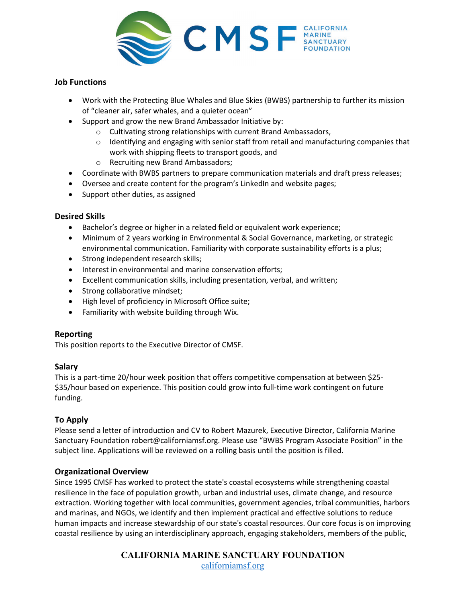

### **Job Functions**

- Work with the Protecting Blue Whales and Blue Skies (BWBS) partnership to further its mission of "cleaner air, safer whales, and a quieter ocean"
- Support and grow the new Brand Ambassador Initiative by:
	- o Cultivating strong relationships with current Brand Ambassadors,
		- $\circ$  Identifying and engaging with senior staff from retail and manufacturing companies that work with shipping fleets to transport goods, and
	- o Recruiting new Brand Ambassadors;
- Coordinate with BWBS partners to prepare communication materials and draft press releases;
- Oversee and create content for the program's LinkedIn and website pages;
- Support other duties, as assigned

#### **Desired Skills**

- Bachelor's degree or higher in a related field or equivalent work experience;
- Minimum of 2 years working in Environmental & Social Governance, marketing, or strategic environmental communication. Familiarity with corporate sustainability efforts is a plus;
- Strong independent research skills;
- Interest in environmental and marine conservation efforts;
- Excellent communication skills, including presentation, verbal, and written;
- Strong collaborative mindset;
- High level of proficiency in Microsoft Office suite;
- Familiarity with website building through Wix.

#### **Reporting**

This position reports to the Executive Director of CMSF.

#### **Salary**

This is a part-time 20/hour week position that offers competitive compensation at between \$25- \$35/hour based on experience. This position could grow into full-time work contingent on future funding.

#### **To Apply**

Please send a letter of introduction and CV to Robert Mazurek, Executive Director, California Marine Sanctuary Foundation robert@californiamsf.org. Please use "BWBS Program Associate Position" in the subject line. Applications will be reviewed on a rolling basis until the position is filled.

#### **Organizational Overview**

Since 1995 CMSF has worked to protect the state's coastal ecosystems while strengthening coastal resilience in the face of population growth, urban and industrial uses, climate change, and resource extraction. Working together with local communities, government agencies, tribal communities, harbors and marinas, and NGOs, we identify and then implement practical and effective solutions to reduce human impacts and increase stewardship of our state's coastal resources. Our core focus is on improving coastal resilience by using an interdisciplinary approach, engaging stakeholders, members of the public,

> **CALIFORNIA MARINE SANCTUARY FOUNDATION** [californiamsf.org](http://www.californiamsf.org/)